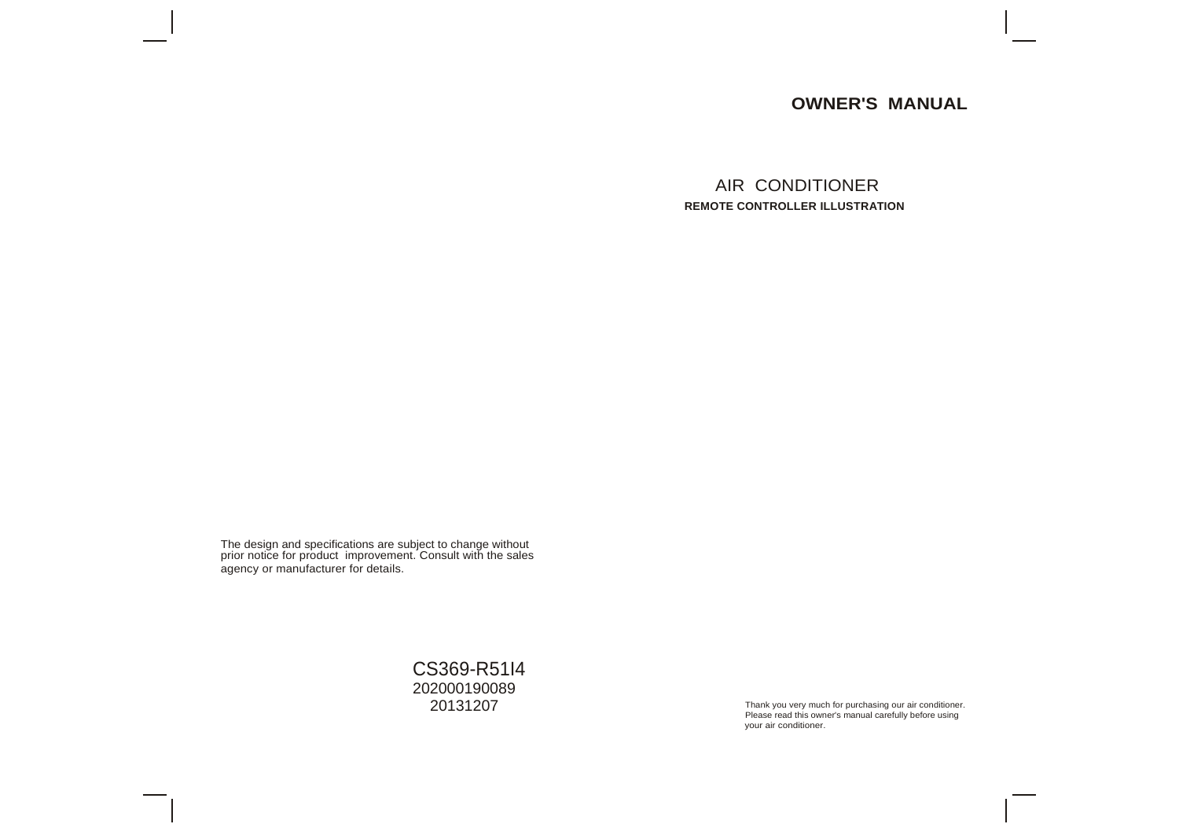# **OWNER'S MANUAL**

AIR CONDITIONER **REMOTE CONTROLLER ILLUSTRATION**

The design and specifications are subject to change without prior notice for product improvement. Consult with the sales agency or manufacturer for details.

> CS369-R51I4 202000190089<br>20131207

Thank you very much for purchasing our air conditioner. Please read this owner's manual carefully before using your air conditioner.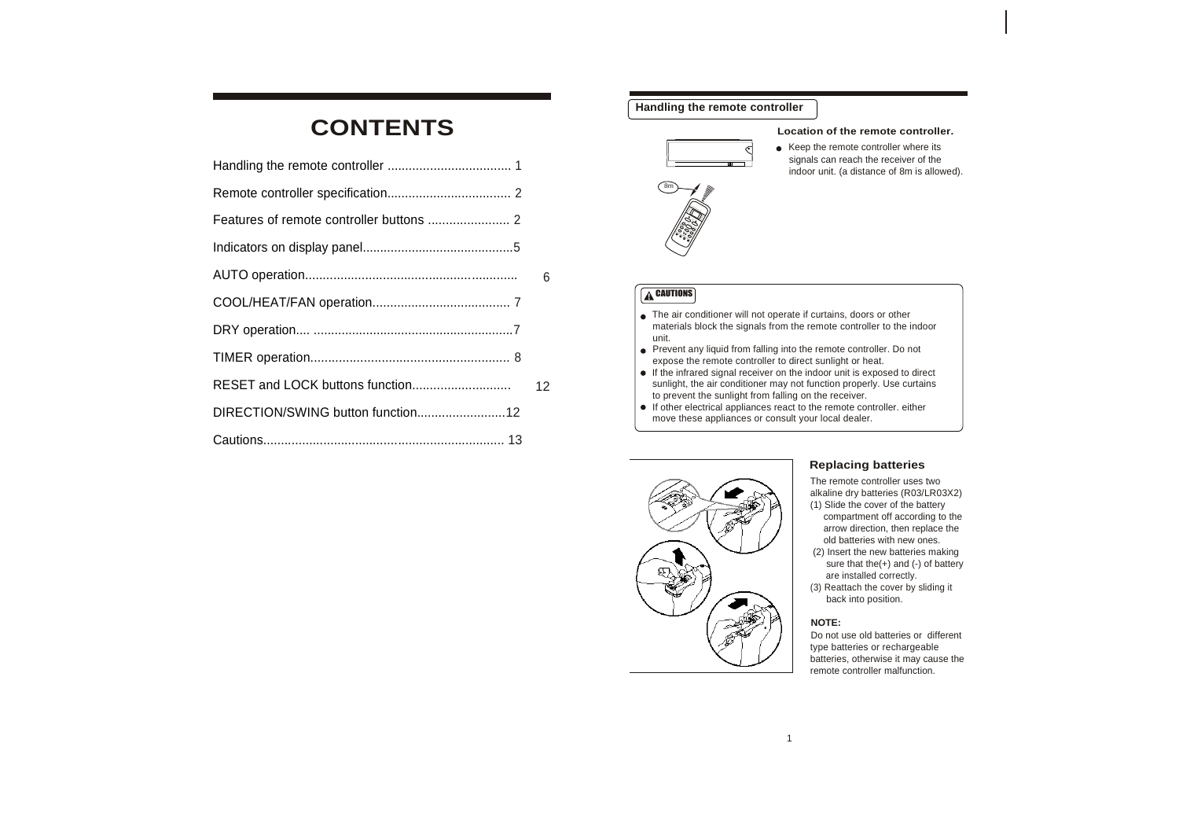# **CONTENTS Location** of the remote controller.

| 6  |
|----|
|    |
|    |
|    |
| 12 |
|    |
|    |

# **Handling the remote controller**



• Keep the remote controller where its signals can reach the receiver of the indoor unit. (a distance of 8m is allowed).

# **A** CAUTIONS

- The air conditioner will not operate if curtains, doors or other materials block the signals from the remote controller to the indoor unit.
- Prevent any liquid from falling into the remote controller. Do not expose the remote controller to direct sunlight or heat.
- $\bullet$  If the infrared signal receiver on the indoor unit is exposed to direct sunlight, the air conditioner may not function properly. Use curtains to prevent the sunlight from falling on the receiver.
- $\bullet$  If other electrical appliances react to the remote controller. either move these appliances or consult your local dealer.



## **Replacing batteries**

The remote controller uses two alkaline dry batteries (R03/LR03X2) (1) Slide the cover of the battery compartment off according to the arrow direction, then replace the old batteries with new ones. (2) Insert the new batteries making sure that the(+) and (-) of battery are installed correctly. (3) Reattach the cover by sliding it back into position.

### . **NOTE:**

Do not use old batteries or different type batteries or rechargeable batteries, otherwise it may cause the remote controller malfunction.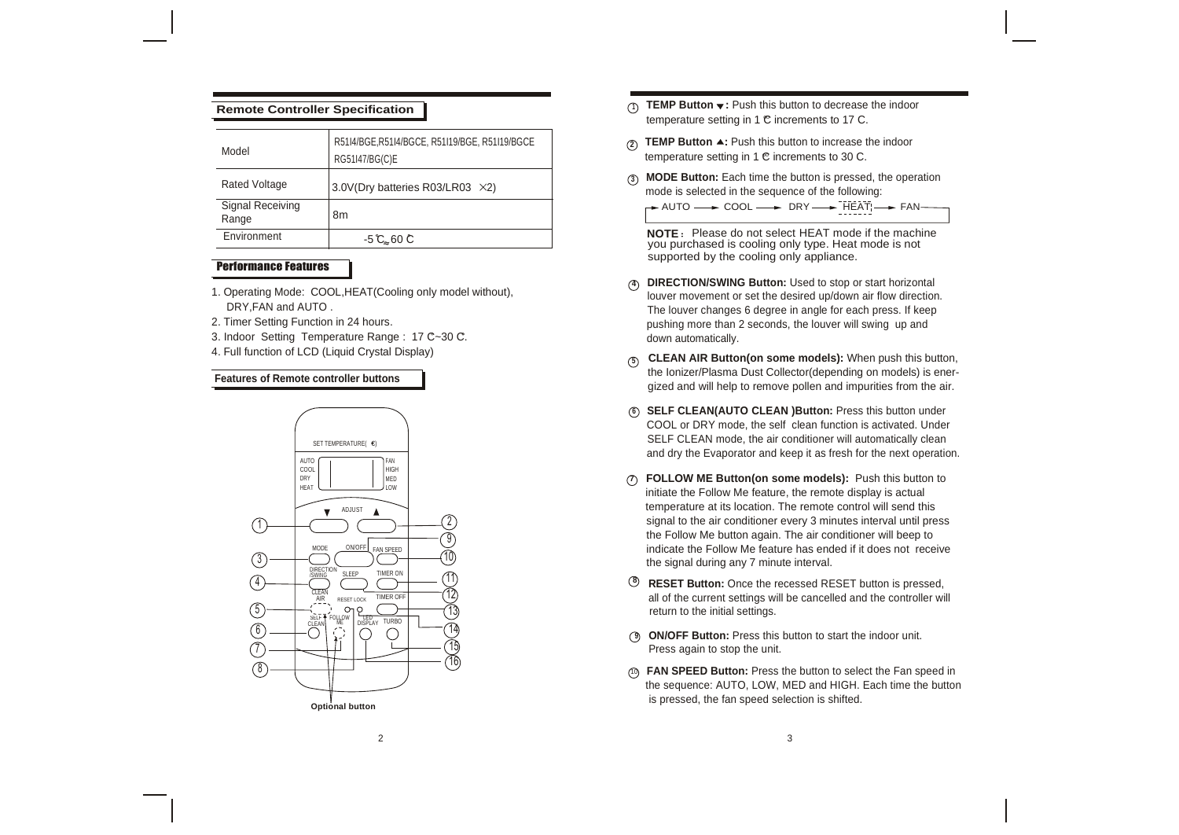| Model                     | R51I4/BGE, R51I4/BGCE, R51I19/BGE, R51I19/BGCE<br>RG51I47/BG(C)E | <b>TEMP Button <math>\triangle</math>:</b> Push this button to increase<br>(2)<br>temperature setting in 1 C increments to 30 C. |
|---------------------------|------------------------------------------------------------------|----------------------------------------------------------------------------------------------------------------------------------|
| <b>Rated Voltage</b>      | 3.0V(Dry batteries R03/LR03 $\times$ 2)                          | MODE Button: Each time the button is presse<br>$\circ$<br>mode is selected in the sequence of the follow                         |
| Signal Receiving<br>Range | 8m                                                               | - AUTO - COOL - DRY - FIEA                                                                                                       |
| Environment               | $-5$ C 60 C                                                      | <b>NOTE:</b> Please do not select HEAT mode<br>you purchased is cooling only type. Heat n                                        |

# Performance Features

- 1. Operating Mode: COOL,HEAT(Cooling only model without), DRY,FAN and AUTO .
- 
- 3. Indoor Setting Temperature Range : 17 C~30 C. **come in the set of the set of the set of the set of the set of the set of the set of the set of the set of the set of the set of the set of the set of the set of the set of**
- 4. Full function of LCD (Liquid Crystal Display)



- temperature setting in 1  $\mathfrak C$  increments to 17 C. **Remote Controller Specification <sup>1</sup> TEMP Button :** Push this button to decrease the indoor
	- **2 TEMP Button ▲:** Push this button to increase the indoor
	- **<sup>3</sup> MODE Button:** Each time the button is pressed, the operation mode is selected in the sequence of the following:

 $\rightarrow$  AUTO  $\rightarrow$  COOL  $\rightarrow$  DRY  $\rightarrow$  HEAT  $\rightarrow$  FAN-

**NOTE** Please do not select HEAT mode if the machine you purchased is cooling only type. Heat mode is not supported by the cooling only appliance.

- **4 DIRECTION/SWING Button:** Used to stop or start horizontal louver movement or set the desired up/down air flow direction. The louver changes 6 degree in angle for each press. If keep 2. Timer Setting Function in 24 hours. pushing more than 2 seconds, the louver will swing up and
- **<sup>5</sup> CLEAN AIR Button(on some models):** When push this button, **Features of Remote controller buttons of** *Remote* controller buttons **and the Ionizer/Plasma Dust Collector(depending on models) is ener**gized and will help to remove pollen and impurities from the air.
	- **<sup>6</sup> SELF CLEAN(AUTO CLEAN )Button:** Press this button under COOL or DRY mode, the self clean function is activated. Under SELF CLEAN mode, the air conditioner will automatically clean<br>SELF CLEAN mode, the air conditioner will automatically clean and dry the Evaporator and keep it as fresh for the next operation.
		- **7 FOLLOW ME Button(on some models):** Push this button to initiate the Follow Me feature, the remote display is actual temperature at its location. The remote control will send this signal to the air conditioner every 3 minutes interval until press the Follow Me button again. The air conditioner will beep to indicate the Follow Me feature has ended if it does not receive the signal during any 7 minute interval.
		- **<sup>8</sup> RESET Button:** Once the recessed RESET button is pressed, all of the current settings will be cancelled and the controller will return to the initial settings.
		- **9 ON/OFF Button:** Press this button to start the indoor unit. Press again to stop the unit.
		- <sup>10</sup> **FAN SPEED Button:** Press the button to select the Fan speed in the sequence: AUTO, LOW, MED and HIGH. Each time the button is pressed, the fan speed selection is shifted.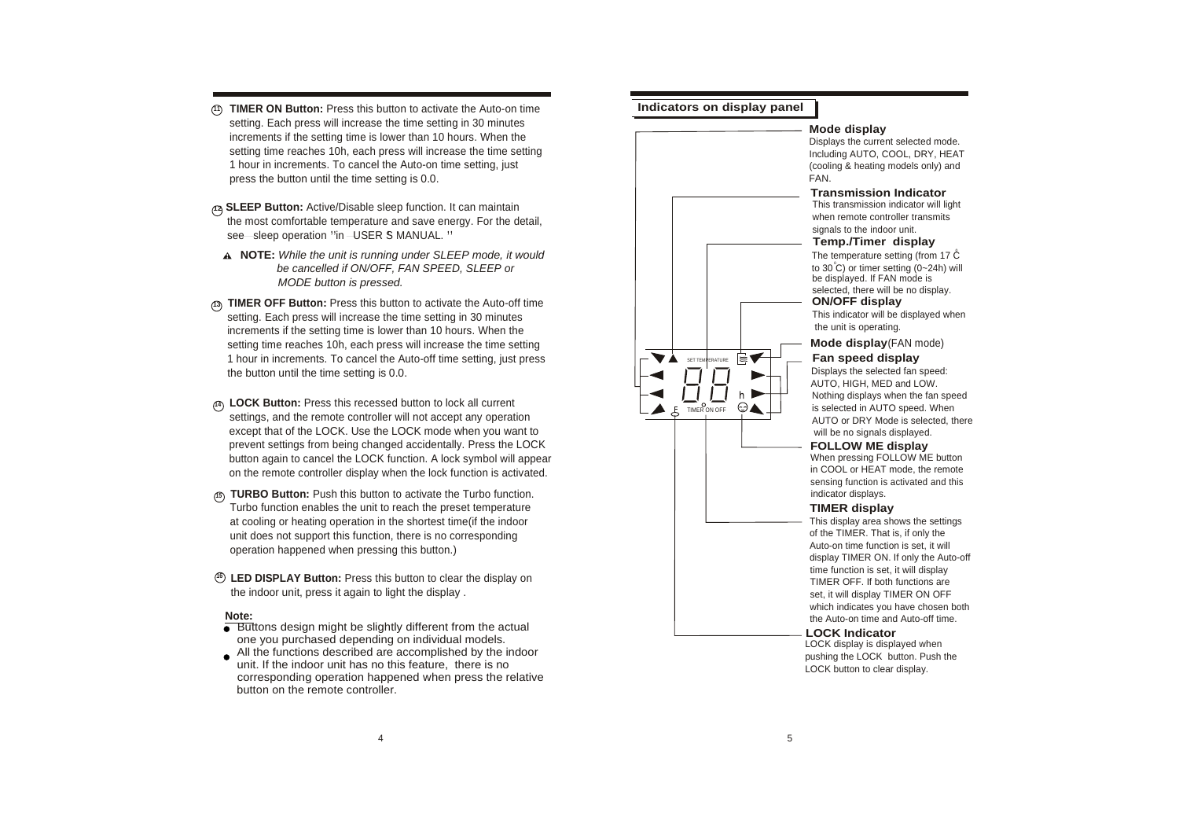- **<sup>11</sup> TIMER ON Button:** Press this button to activate the Auto-on time **Indicators on display panel** setting. Each press will increase the time setting in 30 minutes increments if the setting time is lower than 10 hours. When the setting time reaches 10h, each press will increase the time setting 1 hour in increments. To cancel the Auto-on time setting, just (cooling models on large setting models on large models on large models on the heating models on the heating models on the heating models on the heating models press the button until the time setting is 0.0.
- are most commonable temperature and save end<br>see sleep operation "in -USER S MANUAL." **<sup>12</sup>SLEEP Button:** Active/Disable sleep function. It can maintain the most comfortable temperature and save energy. For the detail,
- **NOTE:** *While the unit is running under SLEEP mode, it would* <sup>o</sup>  *be cancelled if ON/OFF, FAN SPEED, SLEEP or MODE button is pressed.*
- setting. Each press will increase the time setting in 30 minutes This indicator will be displayed when the displayed when the displayed when the displayed when the displayed when the displayed when the displayed when the d setting time reaches 10h, each press will increase the time setting the button until the time setting is 0.0.
- **<sup>14</sup> LOCK Button:** Press this recessed button to lock all current settings, and the remote controller will not accept any operation except that of the LOCK. Use the LOCK mode when you want to will be no signals displayed. on the remote controller display when the lock function is activated.
- at cooling or heating operation in the shortest time(if the indoor unit does not support this function, there is no corresponding operation happened when pressing this button.)
- **<sup>16</sup> LED DISPLAY Button:** Press this button to clear the display on the indoor unit, press it again to light the display .

### **Note:**

- **Buttons design might be slightly different from the actual** one you purchased depending on individual models.
- All the functions described are accomplished by the indoor unit. If the indoor unit has no this feature, there is no corresponding operation happened when press the relative button on the remote controller.

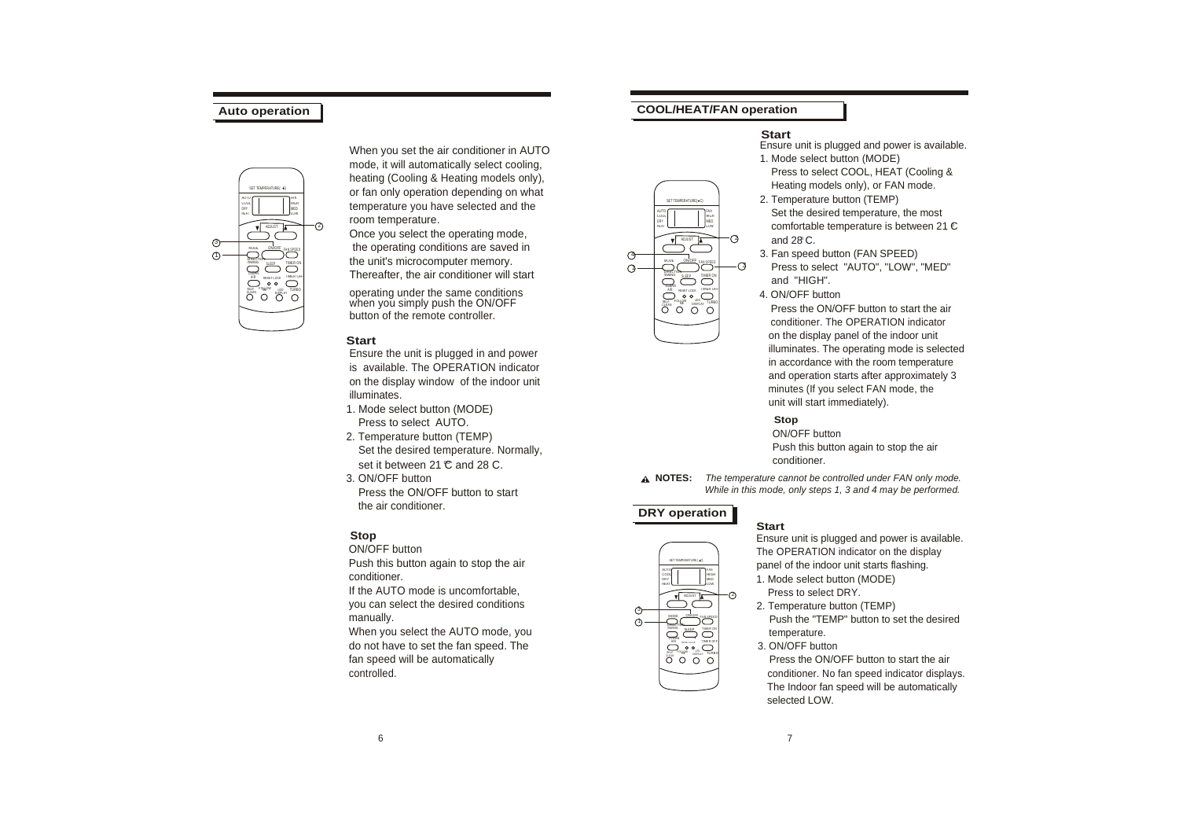

When you set the air conditioner in AUTO mode, it will automatically select cooling, heating (Cooling & Heating models only), or fan only operation depending on what temperature you have selected and the room temperature.

Once you select the operating mode, the operating conditions are saved in the unit's microcomputer memory. Thereafter, the air conditioner will start

operating under the same conditions when you simply push the ON/OFF button of the remote controller.

### **Start**

Ensure the unit is plugged in and power is available. The OPERATION indicator on the display window of the indoor unit illuminates.

- 1. Mode select button (MODE) Press to select AUTO.  $\overline{S}$  **Stop**<br> **Stop**<br> **Stop**<br> **Stop**<br> **Stop**<br> **Stop**<br> **Stop**<br> **Stop**<br> **Stop**<br> **Stop**<br> **Stop**
- set it between 21 C and 28 C. 2. Temperature button (TEMP)<br>Set the desired temperature Normally and the state of the desired temperature Normally Set the desired temperature. Normally, Push this button and the air of the air of the air of the air of the air of the air of the air of the air of the air of the air of the air of the air of the air of the air of the air
- the air conditioner. **DRY operation**

### **Stop**

manually.

When you select the AUTO mode, you do not have to set the fan speed. The fan speed will be automatically

# **Auto operation COOL/HEAT/FAN operation**

### **Start**

Ensure unit is plugged and power is available. 1. Mode select button (MODE)

 Press to select COOL, HEAT (Cooling & Heating models only), or FAN mode.

and 28 C. o comfortable temperature is between 21 C 2. Temperature button (TEMP) Set the desired temperature, the most

- 3. Fan speed button (FAN SPEED) Press to select "AUTO", "LOW", "MED" and "HIGH".
- 4. ON/OFF button

 Press the ON/OFF button to start the air conditioner. The OPERATION indicator on the display panel of the indoor unit illuminates. The operating mode is selected in accordance with the room temperature and operation starts after approximately 3 minutes (If you select FAN mode, the unit will start immediately).

3. ON/OFF button **NOTES:** *The temperature cannot be controlled under FAN only mode.* Press the ON/OFF button to start *While in this mode, only steps 1, 3 and 4 may be performed.*

AIR RESETLOCK IMERICAT SELFAN <sup>FOL</sup>LME<sup>W</sup> DISPLAY TURBO

ON/OFF SINNS SLEEP TIMER ON FAN <u>SPE</u><br>D

ADJUST

SET TEMPERATURE( C)

HEAT DRY COOL AUTO

4  $\bigcap$  LOW MED HIGH FAN

> 2  $\mathcal{O}$



### **Start**

Ensure unit is plugged and power is available. ON/OFF button  $\overline{O}$  arrival can be the operation on the display  $\overline{O}$  arrival can be the operation on the display  $\overline{O}$  and  $\overline{O}$  and of the indoor unit starts flashing Push this button again to stop the air  $\frac{1}{\text{exp}\left(\frac{1}{\text{exp}\left(\frac{1}{\text{exp}\left(\frac{1}{\text{exp}\left(\frac{1}{\text{exp}\left(\frac{1}{\text{exp}\left(\frac{1}{\text{exp}\left(\frac{1}{\text{exp}\left(\frac{1}{\text{exp}\left(\frac{1}{\text{exp}\left(\frac{1}{\text{exp}\left(\frac{1}{\text{exp}\left(\frac{1}{\text{exp}\left(\frac{1}{\text{exp}\left(\frac{1}{\text{exp}\left(\frac{1}{\text{exp}\left(\frac{1}{$ 1. Mode select button (MODE)

- 
- 2. Temperature button (TEMP) Push the "TEMP" button to set the desired temperature.
- 3. ON/OFF button

 Press the ON/OFF button to start the air controlled. controlled. Controlled. Controlled. Controlled. Controlled. Conditioner. No fan speed indicator displays. The Indoor fan speed will be automatically selected LOW.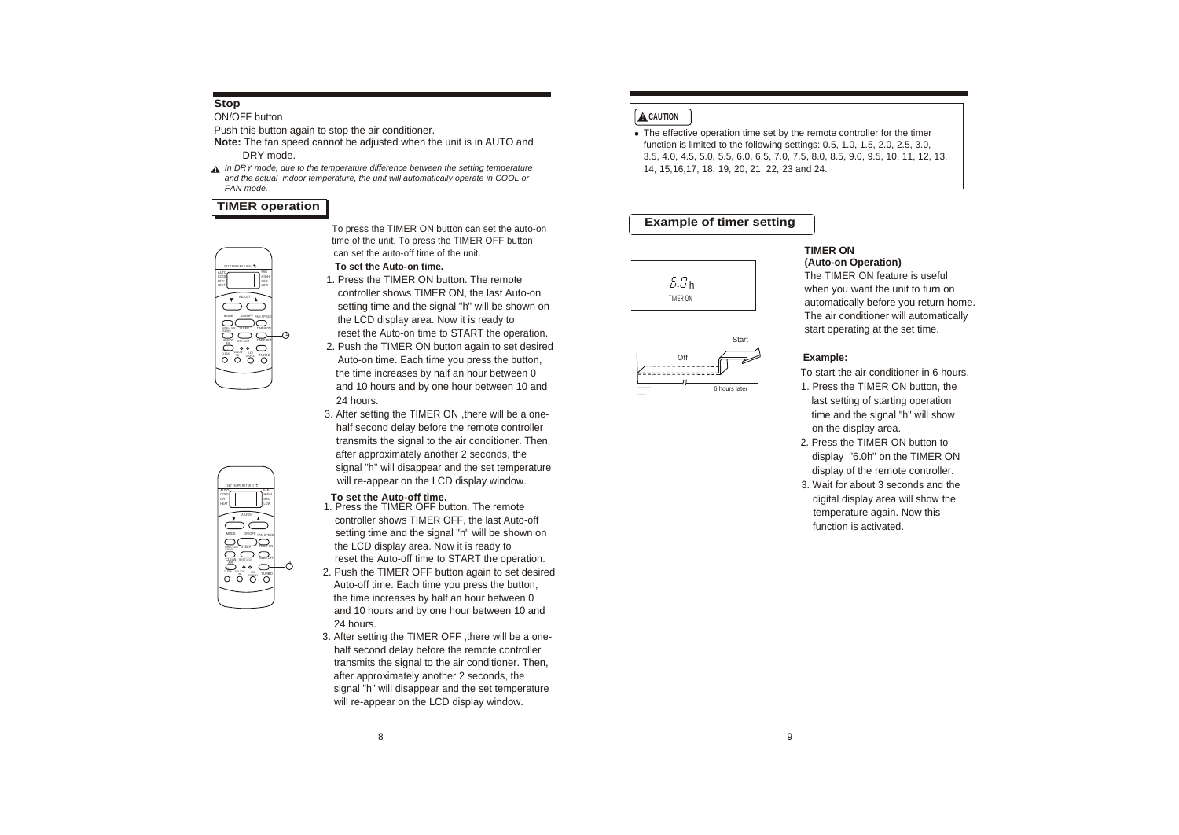# **Stop**

ON/OFF button **ACAUTION** 

Push this button again to stop the air conditioner.

- **Note:** The fan speed cannot be adjusted when the unit is in AUTO and
- **A** In DRY mode, due to the temperature difference between the setting temperature *and the actual indoor temperature, the unit will automatically operate in COOL or FAN mode.*

# **TIMER operation**

CLEAN ME DISPLAY TURBO **CLEAN RESERVED** 5554 AUTO COOL HEAT MODE ON OFF FAN SPEED  $\overline{\bigcirc}$ FAN HIGH LOW

W POLLOW LED TURBO

MODE ON/OFF FAN SPEED ADJUST

CLEAN RESTLIGE INVERSITE

DIREC TION /SWING

COOL DRY HEAT

SET TEMPERATURE( C)

AUTO FAN

HIGH MED LOW

–ሶ

To press the TIMER ON button can set the auto-on time of the unit. To press the TIMER OFF button can set the auto-off time of the unit.

- **To set the Auto-on time.**
- 1. Press the TIMER ON button. The remote controller shows TIMER ON, the last Auto-on setting time and the signal "h" will be shown on the LCD display area. Now it is ready to reset the Auto-on time to START the operation.
- 2. Push the TIMER ON button again to set desired
- Auto-on time. Each time you press the button, the time increases by half an hour between 0 and 10 hours and by one hour between 10 and  $\frac{1}{\sqrt{1-\frac{6}{6}}}$  hours later 1. Press the TIMER ON button, the 24 hours. **last setting of starting operation** and  $\alpha$  is a last setting of starting operation
- 3. After setting the TIMER ON , there will be a one- the stand the signal "h" will show half second delay before the remote controller on the display area. transmits the signal to the air conditioner. Then, 2. Press the TIMER ON button to after approximately another 2 seconds, the display the display "6.0h" on the TIMER ON signal "h" will disappear and the set temperature display of the remote controller. will re-appear on the LCD display window.  $\overline{3}$  window.  $\overline{3}$  wait for about 3 seconds and the

### **To set the Auto-off time.**

- 1. Press the TIMER OFF button. The remote controller shows TIMER OFF, the last Auto-off setting time and the signal "h" will be shown on the LCD display area. Now it is ready to reset the Auto-off time to START the operation.
- 2. Push the TIMER OFF button again to set desired Auto-off time. Each time you press the button, the time increases by half an hour between 0 and 10 hours and by one hour between 10 and 24 hours.
- 3. After setting the TIMER OFF ,there will be a one half second delay before the remote controller transmits the signal to the air conditioner. Then, after approximately another 2 seconds, the signal "h" will disappear and the set temperature will re-appear on the LCD display window.

 The effective operation time set by the remote controller for the timer function is limited to the following settings: 0.5, 1.0, 1.5, 2.0, 2.5, 3.0, DRY mode.<br>RY mode, due to the temperature difference between the setting temperature<br>The state of the setting temperature and the setting temperature and the setting temperature and the setting temperature and the setting

## **Example of timer setting**

Start



Off<br>---------

### **TIMER ON (Auto-on Operation)**

The TIMER ON feature is useful when you want the unit to turn on automatically before you return home. The air conditioner will automatically start operating at the set time.

### **Example:**

- 
- 
- digital display area will show the temperature again. Now this function is activated.

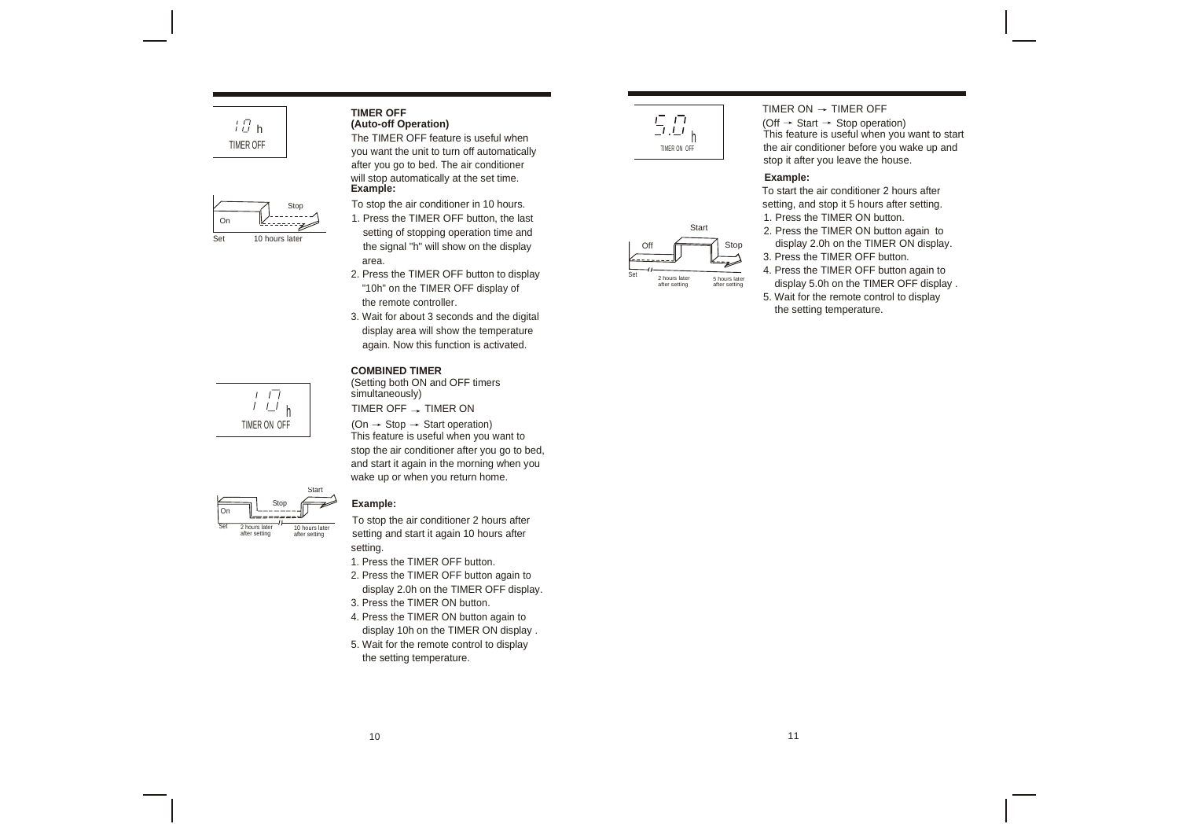



TIMER OFF feature is useful when you want the unit to turn off automatically after you go to bed. The air conditioner will stop automatically at the set time. **Example:**

- 1. Press the TIMER OFF button, the last setting of stopping operation time and the signal "h" will show on the display area.
- 2. Press the TIMER OFF button to display "10h" on the TIMER OFF display of the remote controller.
- 3. Wait for about 3 seconds and the digital display area will show the temperature again. Now this function is activated.

### **COMBINED TIMER**

(Setting both ON and OFF timers simultaneously)

 $(On \rightarrow Stop \rightarrow Start operation)$ This feature is useful when you want to stop the air conditioner after you go to bed, and start it again in the morning when you wake up or when you return home.

### Example:

Start

10 hours later after setting

To stop the air conditioner 2 hours after setting and start it again 10 hours after setting.

1. Press the TIMER OFF button.

- 2. Press the TIMER OFF button again to display 2.0h on the TIMER OFF display.
- 3. Press the TIMER ON button.
- 4. Press the TIMER ON button again to display 10h on the TIMER ON display .
- 5. Wait for the remote control to display the setting temperature.





 $(Off \rightarrow Start \rightarrow Stop operation)$ This feature is useful when you want to start the air conditioner before you wake up and stop it after you leave the house.

### **Example:**

To start the air conditioner 2 hours after Stop To stop the air conditioner in 10 hours. Setting, and stop it 5 hours after setting. 1. Press the TIMER ON button.

- 2. Press the TIMER ON button again to display 2.0h on the TIMER ON display. 3. Press the TIMER OFF button.
- 4. Press the TIMER OFF button again to
- display 5.0h on the TIMER OFF display . 5. Wait for the remote control to display

the setting temperature.



On

2 hours later after setting